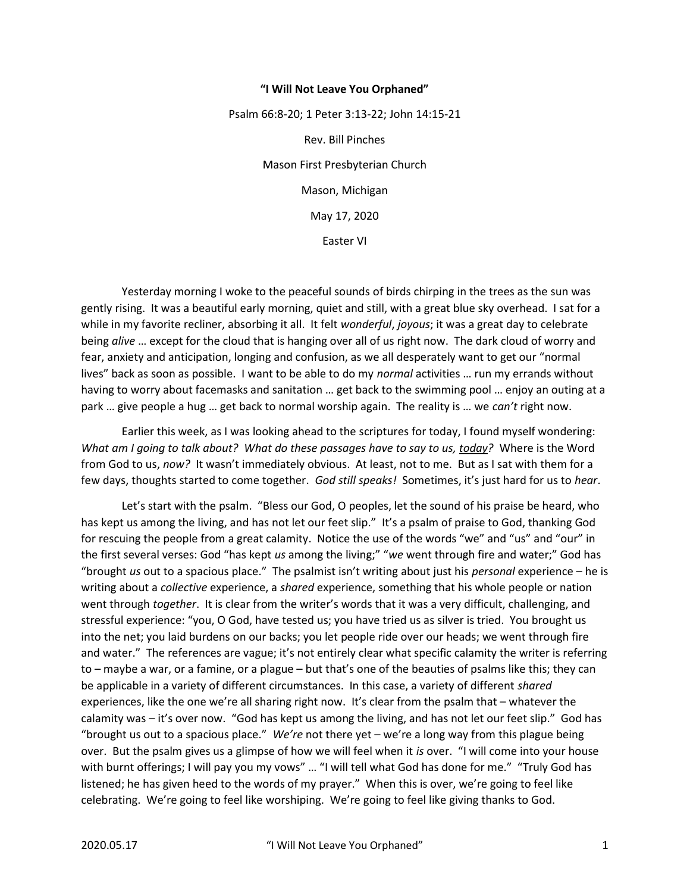## "I Will Not Leave You Orphaned"

Psalm 66:8-20; 1 Peter 3:13-22; John 14:15-21 Rev. Bill Pinches Mason First Presbyterian Church Mason, Michigan May 17, 2020 Easter VI

 Yesterday morning I woke to the peaceful sounds of birds chirping in the trees as the sun was gently rising. It was a beautiful early morning, quiet and still, with a great blue sky overhead. I sat for a while in my favorite recliner, absorbing it all. It felt wonderful, joyous; it was a great day to celebrate being alive ... except for the cloud that is hanging over all of us right now. The dark cloud of worry and fear, anxiety and anticipation, longing and confusion, as we all desperately want to get our "normal lives" back as soon as possible. I want to be able to do my normal activities ... run my errands without having to worry about facemasks and sanitation … get back to the swimming pool … enjoy an outing at a park ... give people a hug ... get back to normal worship again. The reality is ... we can't right now.

 Earlier this week, as I was looking ahead to the scriptures for today, I found myself wondering: What am I going to talk about? What do these passages have to say to us, today? Where is the Word from God to us, now? It wasn't immediately obvious. At least, not to me. But as I sat with them for a few days, thoughts started to come together. God still speaks! Sometimes, it's just hard for us to hear.

 Let's start with the psalm. "Bless our God, O peoples, let the sound of his praise be heard, who has kept us among the living, and has not let our feet slip." It's a psalm of praise to God, thanking God for rescuing the people from a great calamity. Notice the use of the words "we" and "us" and "our" in the first several verses: God "has kept us among the living;" "we went through fire and water;" God has "brought us out to a spacious place." The psalmist isn't writing about just his *personal* experience – he is writing about a collective experience, a shared experience, something that his whole people or nation went through *together*. It is clear from the writer's words that it was a very difficult, challenging, and stressful experience: "you, O God, have tested us; you have tried us as silver is tried. You brought us into the net; you laid burdens on our backs; you let people ride over our heads; we went through fire and water." The references are vague; it's not entirely clear what specific calamity the writer is referring to – maybe a war, or a famine, or a plague – but that's one of the beauties of psalms like this; they can be applicable in a variety of different circumstances. In this case, a variety of different shared experiences, like the one we're all sharing right now. It's clear from the psalm that – whatever the calamity was – it's over now. "God has kept us among the living, and has not let our feet slip." God has "brought us out to a spacious place." We're not there yet – we're a long way from this plague being over. But the psalm gives us a glimpse of how we will feel when it is over. "I will come into your house with burnt offerings; I will pay you my vows" ... "I will tell what God has done for me." "Truly God has listened; he has given heed to the words of my prayer." When this is over, we're going to feel like celebrating. We're going to feel like worshiping. We're going to feel like giving thanks to God.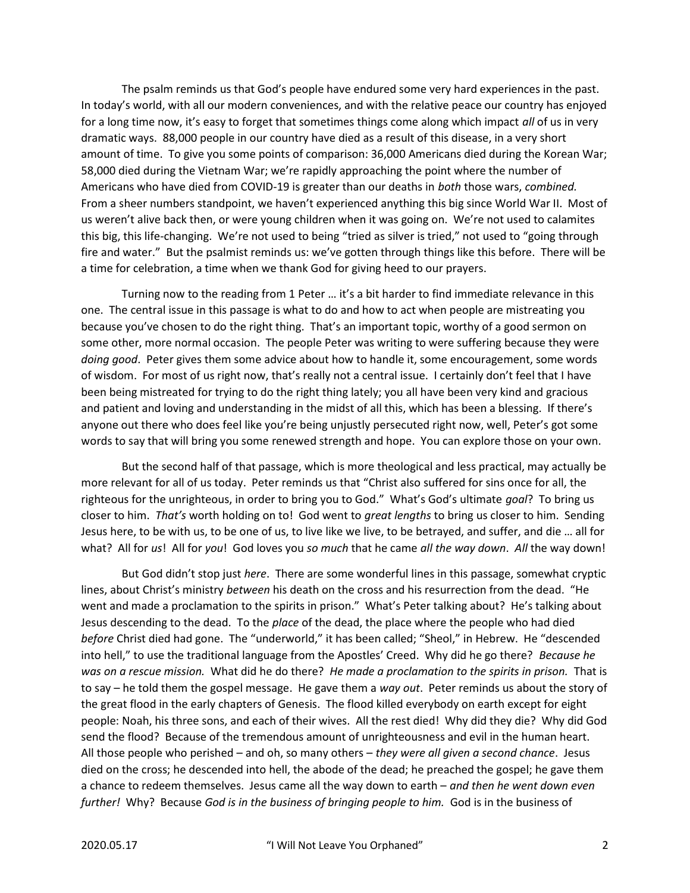The psalm reminds us that God's people have endured some very hard experiences in the past. In today's world, with all our modern conveniences, and with the relative peace our country has enjoyed for a long time now, it's easy to forget that sometimes things come along which impact all of us in very dramatic ways. 88,000 people in our country have died as a result of this disease, in a very short amount of time. To give you some points of comparison: 36,000 Americans died during the Korean War; 58,000 died during the Vietnam War; we're rapidly approaching the point where the number of Americans who have died from COVID-19 is greater than our deaths in both those wars, combined. From a sheer numbers standpoint, we haven't experienced anything this big since World War II. Most of us weren't alive back then, or were young children when it was going on. We're not used to calamites this big, this life-changing. We're not used to being "tried as silver is tried," not used to "going through fire and water." But the psalmist reminds us: we've gotten through things like this before. There will be a time for celebration, a time when we thank God for giving heed to our prayers.

 Turning now to the reading from 1 Peter … it's a bit harder to find immediate relevance in this one. The central issue in this passage is what to do and how to act when people are mistreating you because you've chosen to do the right thing. That's an important topic, worthy of a good sermon on some other, more normal occasion. The people Peter was writing to were suffering because they were doing good. Peter gives them some advice about how to handle it, some encouragement, some words of wisdom. For most of us right now, that's really not a central issue. I certainly don't feel that I have been being mistreated for trying to do the right thing lately; you all have been very kind and gracious and patient and loving and understanding in the midst of all this, which has been a blessing. If there's anyone out there who does feel like you're being unjustly persecuted right now, well, Peter's got some words to say that will bring you some renewed strength and hope. You can explore those on your own.

 But the second half of that passage, which is more theological and less practical, may actually be more relevant for all of us today. Peter reminds us that "Christ also suffered for sins once for all, the righteous for the unrighteous, in order to bring you to God." What's God's ultimate goal? To bring us closer to him. That's worth holding on to! God went to great lengths to bring us closer to him. Sending Jesus here, to be with us, to be one of us, to live like we live, to be betrayed, and suffer, and die … all for what? All for us! All for you! God loves you so much that he came all the way down. All the way down!

But God didn't stop just *here*. There are some wonderful lines in this passage, somewhat cryptic lines, about Christ's ministry between his death on the cross and his resurrection from the dead. "He went and made a proclamation to the spirits in prison." What's Peter talking about? He's talking about Jesus descending to the dead. To the place of the dead, the place where the people who had died before Christ died had gone. The "underworld," it has been called; "Sheol," in Hebrew. He "descended into hell," to use the traditional language from the Apostles' Creed. Why did he go there? Because he was on a rescue mission. What did he do there? He made a proclamation to the spirits in prison. That is to say – he told them the gospel message. He gave them a way out. Peter reminds us about the story of the great flood in the early chapters of Genesis. The flood killed everybody on earth except for eight people: Noah, his three sons, and each of their wives. All the rest died! Why did they die? Why did God send the flood? Because of the tremendous amount of unrighteousness and evil in the human heart. All those people who perished – and oh, so many others – they were all given a second chance. Jesus died on the cross; he descended into hell, the abode of the dead; he preached the gospel; he gave them a chance to redeem themselves. Jesus came all the way down to earth – and then he went down even further! Why? Because God is in the business of bringing people to him. God is in the business of